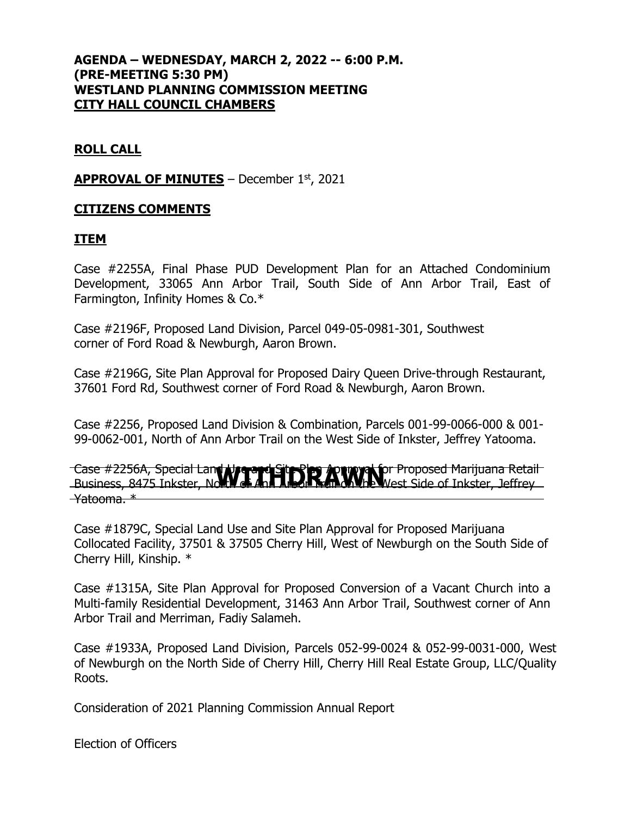# **AGENDA – WEDNESDAY, MARCH 2, 2022 -- 6:00 P.M. (PRE-MEETING 5:30 PM) WESTLAND PLANNING COMMISSION MEETING CITY HALL COUNCIL CHAMBERS**

# **ROLL CALL**

### **APPROVAL OF MINUTES** – December 1st, 2021

### **CITIZENS COMMENTS**

#### **ITEM**

Case #2255A, Final Phase PUD Development Plan for an Attached Condominium Development, 33065 Ann Arbor Trail, South Side of Ann Arbor Trail, East of Farmington, Infinity Homes & Co.\*

Case #2196F, Proposed Land Division, Parcel 049-05-0981-301, Southwest corner of Ford Road & Newburgh, Aaron Brown.

Case #2196G, Site Plan Approval for Proposed Dairy Queen Drive-through Restaurant, 37601 Ford Rd, Southwest corner of Ford Road & Newburgh, Aaron Brown.

Case #2256, Proposed Land Division & Combination, Parcels 001-99-0066-000 & 001- 99-0062-001, North of Ann Arbor Trail on the West Side of Inkster, Jeffrey Yatooma.

Case #2256A, Special Land Use and Site Plan Approval for Proposed Marijuana Retail Case #2256A, Special Lan**d Algeric Sitt Side, Ann Arbor Proposed Marijuana Retail**<br>Business, 8475 Inkster, No**rth of Ann Arbor Tean on the W**est Side of Inkster, Jeffrey Yatooma. \*

Case #1879C, Special Land Use and Site Plan Approval for Proposed Marijuana Collocated Facility, 37501 & 37505 Cherry Hill, West of Newburgh on the South Side of Cherry Hill, Kinship. \*

Case #1315A, Site Plan Approval for Proposed Conversion of a Vacant Church into a Multi-family Residential Development, 31463 Ann Arbor Trail, Southwest corner of Ann Arbor Trail and Merriman, Fadiy Salameh.

Case #1933A, Proposed Land Division, Parcels 052-99-0024 & 052-99-0031-000, West of Newburgh on the North Side of Cherry Hill, Cherry Hill Real Estate Group, LLC/Quality Roots.

Consideration of 2021 Planning Commission Annual Report

Election of Officers